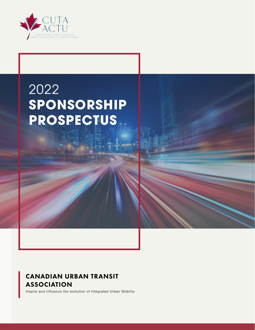

### 2022 **SPONSORSHIP PROSPECTUS**

### CANADIAN URBAN TRANSIT ASSOCIATION

Inspire and influence the evolution of Integrated Urban Mobility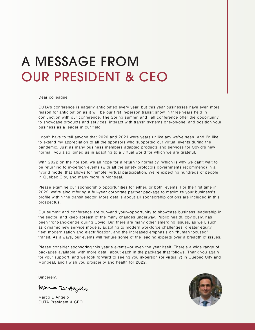# A MESSAGE FROM OUR PRESIDENT & CEO

Dear colleague,

CUTA's conference is eagerly anticipated every year, but this year businesses have even more reason for anticipation as it will be our first in-person transit show in three years held in conjunction with our conference. The Spring summit and Fall conference offer the opportunity to showcase products and services, interact with transit systems one-on-one, and position your business as a leader in our field.

I don't have to tell anyone that 2020 and 2021 were years unlike any we've seen. And I'd like to extend my appreciation to all the sponsors who supported our virtual events during the pandemic. Just as many business members adapted products and services for Covid's new normal, you also joined us in adapting to a virtual world for which we are grateful.

With 2022 on the horizon, we all hope for a return to normalcy. Which is why we can't wait to be returning to in-person events (with all the safety protocols governments recommend) in a hybrid model that allows for remote, virtual participation. We're expecting hundreds of people in Quebec City, and many more in Montreal.

Please examine our sponsorship opportunities for either, or both, events. For the first time in 2022, we're also offering a full-year corporate partner package to maximize your business's profile within the transit sector. More details about all sponsorship options are included in this prospectus.

Our summit and conference are our—and your—opportunity to showcase business leadership in the sector, and keep abreast of the many changes underway. Public health, obviously, has been front-and-centre during Covid. But there are many other emerging issues, as well, such as dynamic new service models, adapting to modern workforce challenges, greater equity, fleet modernization and electrification, and the increased emphasis on "human focused" transit. As always, our events will feature some of the leading experts over a breadth of issues.

Please consider sponsoring this year's events—or even the year itself. There's a wide range of packages available, with more detail about each in the package that follows. Thank you again for your support, and we look forward to seeing you in-person (or virtually) in Quebec City and Montreal, and I wish you prosperity and health for 2022.

Sincerely,

Mous D'Angelo

Marco D'Angelo CUTA President & CEO

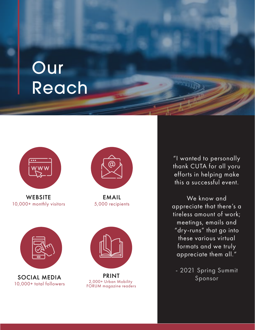# Our Reach



**WEBSITE** 10,000+ monthly visitors



SOCIAL MEDIA 10,000+ total followers



EMAIL 5,000 recipients



PRINT 2,000+ Urban Mobility FORUM magazine readers

"I wanted to personally thank CUTA for all yoru efforts in helping make this a successful event.

We know and appreciate that there's a tireless amount of work; meetings, emails and "dry-runs" that go into these various virtual formats and we truly appreciate them all."

- 2021 Spring Summit Sponsor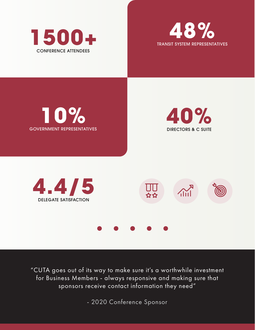





"CUTA goes out of its way to make sure it's a worthwhile investment for Business Members - always responsive and making sure that sponsors receive contact information they need"

- 2020 Conference Sponsor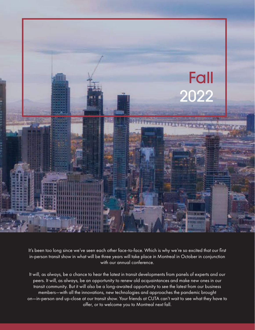

It's been too long since we've seen each other face-to-face. Which is why we're so excited that our first in-person transit show in what will be three years will take place in Montreal in October in conjunction with our annual conference.

It will, as always, be a chance to hear the latest in transit developments from panels of experts and our peers. It will, as always, be an opportunity to renew old acquaintances and make new ones in our transit community. But it will also be a long-awaited opportunity to see the latest from our business members—with all the innovations, new technologies and approaches the pandemic brought on—in-person and up-close at our transit show. Your friends at CUTA can't wait to see what they have to offer, or to welcome you to Montreal next fall.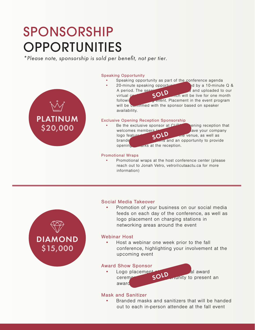### SPONSORSHIP OPPORTUNITIES

*\*Please note, sponsorship is sold per benefit, not per tier.* 

#### Speaking Opportunity

- Speaking opportunity as part of the conference agenda
	- 20-minute speaking opportunity followed by a 10-minute  $Q \&$ A period. The session will be recorded and uploaded to our virtual  $\sim$   $\mathbf{S}$   $\mathbf{O}$   $\mathbf{L}$  and will be live for one month following the spring event. Placement in the event program will be confirmed with the sponsor based on speaker availability. SOLD

#### Exclusive Opening Reception Sponsorship

Be the exclusive sponsor at  $CUT$  ening reception that welcomes members to the fall event. Have your company logo feature on  $\mathbb{C} \cap \mathbb{C}$  while venue, as well as branded cocktain napkins and an opportunity to provide opening **remarks** at the reception. SOL

#### Promotional Wraps

• Promotional wraps at the host conference center (please reach out to Jonah Vetro, vetro@cutaactu.ca for more information)



PLATINUM

\$20,000

#### Social Media Takeover

• Promotion of your business on our social media feeds on each day of the conference, as well as logo placement on charging stations in networking areas around the event

#### Webinar Host

• Host a webinar one week prior to the fall conference, highlighting your involvement at the upcoming event

#### Award Show Sponsor

Logo placement at CuTA's annual award ceremony  $S$ O<sup>LD</sup> runity to present an award SOLD

#### Mask and Sanitizer

• Branded masks and sanitizers that will be handed out to each in-person attendee at the fall event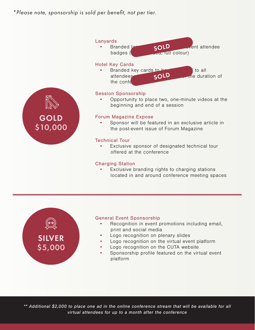*\*Please note, sponsorship is sold per benefit, not per tier.* 



#### Charging Station

Exclusive branding rights to charging stations located in and around conference meeting spaces



#### General Event Sponsorship

- Recognition in event promotions including email, print and social media
- Logo recognition on plenary slides
- Logo recognition on the virtual event platform
- Logo recognition on the CUTA website
- Sponsorship profile featured on the virtual event platform

*\*\* Additional \$2,000 to place one ad in the online conference stream that will be available for all virtual attendees for up to a month after the conference*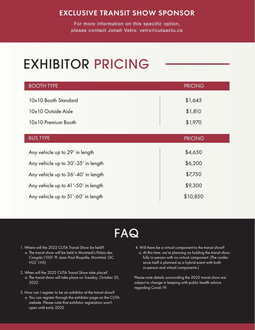### EXCLUSIVE TRANSIT SHOW SPONSOR

For more information on this specific option, please contact Jonah Vetro: vetro@cutaactu.ca

# EXHIBITOR PRICING

| <b>BOOTH TYPE</b>                   | <b>PRICING</b> |
|-------------------------------------|----------------|
| 10x10 Booth Standard                | \$1,645        |
| 10x10 Outside Aisle                 | \$1,810        |
| 10x10 Premium Booth                 | \$1,970        |
| <b>BUS TYPE</b>                     | <b>PRICING</b> |
|                                     |                |
| Any vehicle up to 29' in length     | \$4,650        |
| Any vehicle up to 30'-35' in length | \$6,200        |
| Any vehicle up to 36'-40' in length | \$7,750        |
| Any vehicle up to 41'-50' in length | \$9,300        |
| Any vehicle up to 51'-60' in length | \$10,850       |

### FAQ

- 1. Where will the 2022 CUTA Transit Show be held? a. The transit show will be held in Montreal's Palais des Congrès (1001 Pl. Jean-Paul-Riopelle, Montréal, QC H2Z 1H5)
- 2. When will the 2022 CUTA Transit Show take place? a. The transit show will take place on Tuesday, October 25, 2022.
- 3. How can I register to be an exhibitor at the transit show? a. You can register through the exhibitor page on the CUTA website. Please note that exhibitor registration won't open until early 2022.
- 4. Will there be a virtual component to the transit show? a. At this time, we're planning on holding the transit show fully in-person with no virtual component. (The conference itself is planned as a hybrid event with both in-person and virtual components.)

Please note details surrounding the 2022 transit show are subject to change in keeping with public health advice regarding Covid-19.